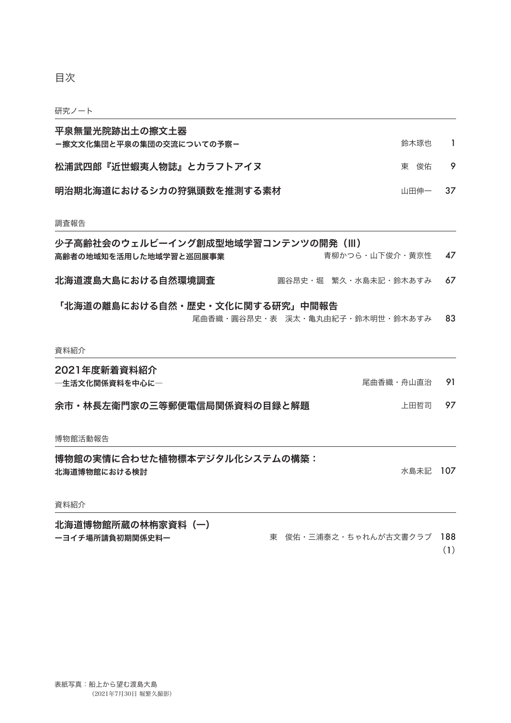目次

#### 研究ノート

| 少子高齢社会のウェルビーイング創成型地域学習コンテンツの開発 (III)<br>青柳かつら・山下俊介・黄京性<br>高齢者の地域知を活用した地域学習と巡回展事業 |      | 47  |
|----------------------------------------------------------------------------------|------|-----|
| 調杳報告                                                                             |      |     |
| 明治期北海道におけるシカの狩猟頭数を推測する素材                                                         | 山田伸一 | -37 |
| 松浦武四郎『近世蝦夷人物誌』とカラフトアイヌ                                                           | 東の俊佑 | 9   |
| 平泉無量光院跡出土の擦文土器<br>ー擦文文化集団と平泉の集団の交流についての予察ー                                       | 鈴木琢也 |     |

北海道渡島大島における自然環境調査 圓谷昂史・堀 繁久・水島未記・鈴木あすみ 67

#### 「北海道の離島における自然・歴史・文化に関する研究」中間報告 83 尾曲香織・圓谷昂史・表 渓太・亀丸由紀子・鈴木明世・鈴木あすみ

#### 資料紹介

## 2021年度新着資料紹介

―生活文化関係資料を中心に―

91 尾曲香織・舟山直治

余市・林長左衛門家の三等郵便電信局関係資料の目録と解題 上田哲司 97

博物館活動報告

博物館の実情に合わせた植物標本デジタル化システムの構築: 北海道博物館における検討

107 水島未記

## 資料紹介

北海道博物館所蔵の林栴家資料(一) ーヨイチ場所請負初期関係史料ー

東 俊佑・三浦泰之・ちゃれんが古文書クラブ 188

(1)